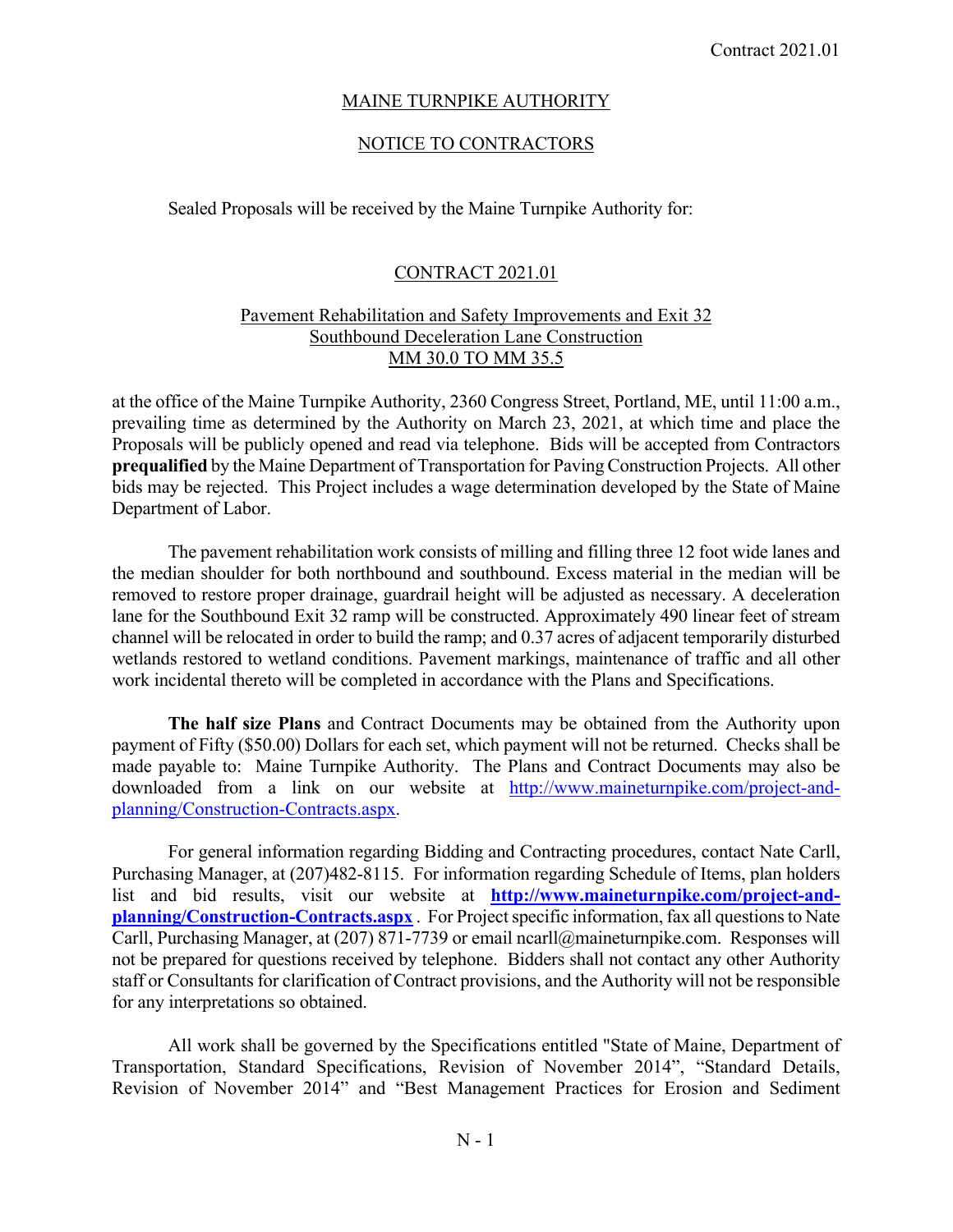## MAINE TURNPIKE AUTHORITY

## NOTICE TO CONTRACTORS

Sealed Proposals will be received by the Maine Turnpike Authority for:

## CONTRACT 2021.01

## Pavement Rehabilitation and Safety Improvements and Exit 32 Southbound Deceleration Lane Construction MM 30.0 TO MM 35.5

at the office of the Maine Turnpike Authority, 2360 Congress Street, Portland, ME, until 11:00 a.m., prevailing time as determined by the Authority on March 23, 2021, at which time and place the Proposals will be publicly opened and read via telephone. Bids will be accepted from Contractors **prequalified** by the Maine Department of Transportation for Paving Construction Projects. All other bids may be rejected. This Project includes a wage determination developed by the State of Maine Department of Labor.

 The pavement rehabilitation work consists of milling and filling three 12 foot wide lanes and the median shoulder for both northbound and southbound. Excess material in the median will be removed to restore proper drainage, guardrail height will be adjusted as necessary. A deceleration lane for the Southbound Exit 32 ramp will be constructed. Approximately 490 linear feet of stream channel will be relocated in order to build the ramp; and 0.37 acres of adjacent temporarily disturbed wetlands restored to wetland conditions. Pavement markings, maintenance of traffic and all other work incidental thereto will be completed in accordance with the Plans and Specifications.

**The half size Plans** and Contract Documents may be obtained from the Authority upon payment of Fifty (\$50.00) Dollars for each set, which payment will not be returned. Checks shall be made payable to: Maine Turnpike Authority. The Plans and Contract Documents may also be downloaded from a link on our website at http://www.maineturnpike.com/project-andplanning/Construction-Contracts.aspx.

For general information regarding Bidding and Contracting procedures, contact Nate Carll, Purchasing Manager, at (207)482-8115. For information regarding Schedule of Items, plan holders list and bid results, visit our website at **http://www.maineturnpike.com/project-andplanning/Construction-Contracts.aspx** . For Project specific information, fax all questions to Nate Carll, Purchasing Manager, at (207) 871-7739 or email ncarll@maineturnpike.com. Responses will not be prepared for questions received by telephone. Bidders shall not contact any other Authority staff or Consultants for clarification of Contract provisions, and the Authority will not be responsible for any interpretations so obtained.

 All work shall be governed by the Specifications entitled "State of Maine, Department of Transportation, Standard Specifications, Revision of November 2014", "Standard Details, Revision of November 2014" and "Best Management Practices for Erosion and Sediment